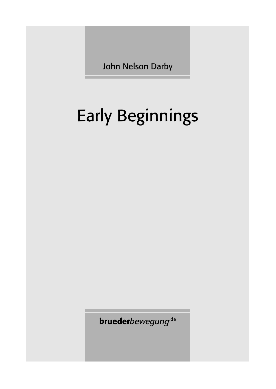John Nelson Darby

# Early Beginnings

**brueder**bewegung<sup>.de</sup>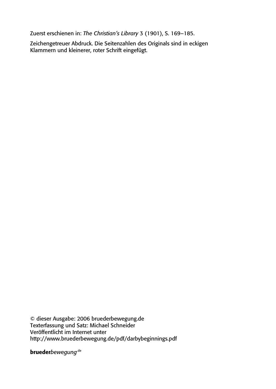Zuerst erschienen in: *The Christian's Library* 3 (1901), S. 169–185.

Zeichengetreuer Abdruck. Die Seitenzahlen des Originals sind in eckigen Klammern und kleinerer, roter Schrift eingefügt.

© dieser Ausgabe: 2006 bruederbewegung.de Texterfassung und Satz: Michael Schneider Veröffentlicht im Internet unter http://www.bruederbewegung.de/pdf/darbybeginnings.pdf

brueder*bewegung*<sup>de</sup>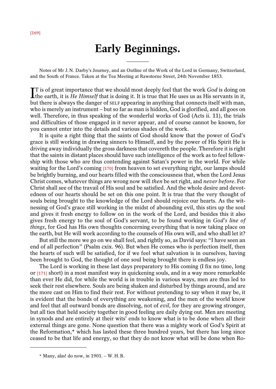## **Early Beginnings.**

Notes of Mr J.N. Darby's Journey, and an Outline of the Work of the Lord in Germany, Switzerland, and the South of France. Taken at the Tea Meeting at Rawstorne Street, 24th November 1853.

————

IT is of great importance that we should most deeply feel that the work *God* is doing on the earth, it is *He Himself* that is doing it. It is true that He uses us as His servants in it, the earth, it is *He Himself* that is doing it. It is true that He uses us as His servants in it, but there is always the danger of SELF appearing in anything that connects itself with man, who is merely an instrument – but so far as man is hidden, God is glorified, and all goes on well. Therefore, in thus speaking of the wonderful works of God (Acts ii. 11), the trials and difficulties of those engaged in it never appear, and of course cannot be known, for you cannot enter into the details and various shades of the work.

It is quite a right thing that the saints of God should know that the power of God's grace is still working in drawing sinners to Himself, and by the power of His Spirit He is driving away individually the gross darkness that covereth the people. Therefore it is right that the saints in distant places should have such intelligence of the work as to feel fellowship with those who are thus contending against Satan's power in the world. For while waiting for the Lord's coming [170] from heaven to set everything right, our lamps should be brightly burning, and our hearts filled with the consciousness that, when the Lord Jesus Christ comes, whatever things are wrong now will *then* be set right, and *never before*. For Christ shall see of the travail of His soul and be satisfied. And the whole desire and devotedness of our hearts should be set on this one point. It is true that the very thought of souls being brought to the knowledge of the Lord should rejoice our hearts. As the witnessing of God's grace still working in the midst of abounding evil, this stirs up the soul and gives it fresh energy to follow on in the work of the Lord, and besides this it also gives fresh energy to the soul of God's servant, to be found working in *God's line of things*, for God has His own thoughts concerning everything that is now taking place on the earth, but He will work according to the counsels of His own will, and who shall let it?

But still the more we go on we shall feel, and rightly so, as David says: "I have seen an end of all perfection" (Psalm cxix. 96). But when He comes who is perfection itself, then the hearts of such will be satisfied, for if we feel what salvation is in ourselves, having been brought to God, the thought of one soul being brought there is endless joy.

The Lord is working in these last days preparatory to His coming (I fix no time, long or [171] short) in a most manifest way in quickening souls, and in a way more remarkable than ever He did, for while the world is in trouble in various ways, men are thus led to seek their rest elsewhere. Souls are being shaken and disturbed by things around, and are the more cast on Him to find their rest. For without pretending to say when it may be, it is evident that the bonds of everything are weakening, and the men of the world know and feel that all outward bonds are dissolving, not of *evil*, for they are growing stronger, but all ties that held society together in good feeling are daily dying out. Men are meeting in synods and are entirely at their wits' ends to know what is to be done when all their external things are gone. None question that there was a mighty work of God's Spirit at the Reformation,\* which has lasted these three hundred years, but there has long since ceased to be that life and energy, so that they do not know what will be done when Ro-

<sup>\*</sup> Many, alas! do now, in 1901. – W.H.B.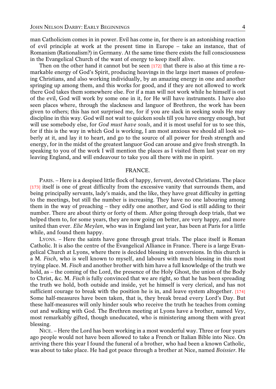man Catholicism comes in in power. Evil has come in, for there is an astonishing reaction of evil principle at work at the present time in Europe – take an instance, that of Romanism (Rationalism?) in Germany. At the same time there exists the full consciousness in the Evangelical Church of the want of energy to keep itself alive.

Then on the other hand it cannot but be seen [172] that there is also at this time a remarkable energy of God's Spirit, producing heavings in the large inert masses of professing Christians, and also working individually, by an amazing energy in one and another springing up among them, and this works for good, and if they are not allowed to work there God takes them somewhere else. For if a man will not work while he himself is out of the evil, God will work by some one in it, for He will have instruments. I have also seen places where, through the slackness and languor of Brethren, the work has been given to others; this has not surprised me, for if you are slack in seeking souls He may discipline in this way. God will not wait to quicken souls till you have energy enough, but will use somebody else, for *God must have souls*, and it is most useful for us to see this, for if this is the way in which God is working, I am most anxious we should all look soberly at it, and lay it to heart, and go to the source of all power for fresh strength and energy, for in the midst of the greatest languor God can arouse and give fresh strength. In speaking to you of the work I will mention the places as I visited them last year on my leaving England, and will endeavour to take you all there with me in spirit.

### **FRANCE**

PARIS. – Here is a despised little flock of happy, fervent, devoted Christians. The place [173] itself is one of great difficulty from the excessive vanity that surrounds them, and being principally servants, lady's maids, and the like, they have great difficulty in getting to the meetings, but still the number is increasing. They have no one labouring among them in the way of preaching – they edify one another, and God is still adding to their number. There are about thirty or forty of them. After going through deep trials, that we helped them to, for some years, they are now going on better, are very happy, and more united than ever. *Elie Meylan*, who was in England last year, has been at Paris for a little while, and found them happy.

LYONS. – Here the saints have gone through great trials. The place itself is Roman Catholic. It is also the centre of the Evangelical Alliance in France. There is a large Evangelical Church at Lyons, where there is decided blessing in conversions. In this church is a M. *Fisch*, who is well known to myself, and labours with much blessing in this most trying place. M. *Fisch* and another brother with him have a full knowledge of the truth we hold, as – the coming of the Lord, the presence of the Holy Ghost, the union of the Body to Christ, &c. M. *Fisch* is fully convinced that we are right, so that he has been spreading the truth we hold, both outside and inside, yet he himself is very clerical, and has not sufficient courage to break with the position he is in, and leave system altogether. [174] Some half-measures have been taken, that is, they break bread every Lord's Day. But these half-measures will only hinder souls who receive the truth he teaches from coming out and walking with God. The Brethren meeting at Lyons have a brother, named *Vey*, most remarkably gifted, though uneducated, who is ministering among them with great blessing.

NICE. – Here the Lord has been working in a most wonderful way. Three or four years ago people would not have been allowed to take a French or Italian Bible into Nice. On arriving there this year I found the funeral of a brother, who had been a known Catholic, was about to take place. He had got peace through a brother at Nice, named *Boissier*. He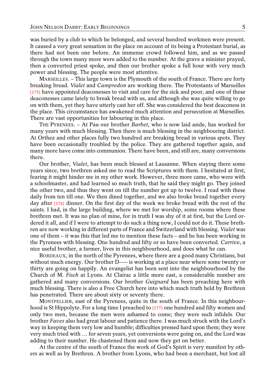was buried by a club to which he belonged, and several hundred workmen were present. It caused a very great sensation in the place on account of its being a Protestant burial, as there had not been one before. An immense crowd followed him, and as we passed through the town many more were added to the number. At the grave a minister prayed, then a converted priest spoke, and then our brother spoke a full hour with very much power and blessing. The people were most attentive.

MARSEILLES. – This large town is the Plymouth of the south of France. There are forty breaking bread. *Vialet* and *Campredon* are working there. The Protestants of Marseilles [175] have appointed deaconesses to visit and care for the sick and poor, and one of these deaconesses came lately to break bread with us, and although she was quite willing to go on with them, yet they have utterly cast her off. She was considered the best deaconess in the place. This circumstance has awakened much attention and persecution at Marseilles. There are vast opportunities for labouring in this place.

THE PYRENEES. – At Pau our brother *Barbet*, who is now laid aside, has worked for many years with much blessing. Then there is much blessing in the neighbouring district. At Orthez and other places fully two hundred are breaking bread in various spots. They have been occasionally troubled by the police. They are gathered together again, and many more have come into communion. There have been, and still are, many conversions there.

Our brother, *Vialet*, has been much blessed at Lausanne. When staying there some years since, two brethren asked me to read the Scriptures with them. I hesitated at first, fearing it might hinder me in my other work. However, three more came, who were with a schoolmaster, and had learned so much truth, that he said they might go. They joined the other two, and thus they went on till the number got up to twelve. I read with these daily from ten till one. We then dined together, and we also broke bread together every day after [176] dinner. On the first day of the week we broke bread with the rest of the saints. I had, in the large building, where we met for worship, some rooms where these brethren met. It was no plan of mine, for in truth I was shy of it at first, but the Lord ordered it all, and if I were to attempt to do such a thing now, I could not do it. These brethren are now working in different parts of France and Switzerland with blessing. *Vialet* was one of them – it was this that led me to mention these facts – and he has been working in the Pyrenees with blessing. One hundred and fifty or so have been converted. *Carrive*, a nice useful brother, a farmer, lives in this neighbourhood, and does what he can.

BORDEAUX, in the north of the Pyrenees, where there are a good many Christians, but without much energy. Our brother D—— is working at a place near where some twenty or thirty are going on happily. An evangelist has been sent into the neighbourhood by the Church of M. *Fisch* at Lyons. At Clairac a little more east, a considerable number are gathered and many conversions. Our brother *Guignard* has been preaching here with much blessing. There is also a Free Church here into which much truth held by Brethren has penetrated. There are about sixty or seventy there.

MONTPELLIER, east of the Pyrenees, quite in the south of France. In this neighbourhood is St Hippolyte. For a long time I preached to [177] one hundred and fifty women and only two men, because the men were ashamed to come; they were such infidels. Our brother *Faves* also had great labour and patience there. I was much struck with the Lord's way in keeping them very low and humble; difficulties pressed hard upon them; they were very much tried with … for seven years, yet conversions were going on, and the Lord was adding to their number. He chastened them and now they get on better.

At the centre of the south of France the work of God's Spirit is very manifest by others as well as by Brethren. A brother from Lyons, who had been a merchant, but lost all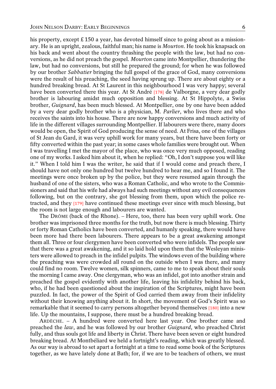his property, except £ 150 a year, has devoted himself since to going about as a missionary. He is an upright, zealous, faithful man; his name is *Mourton*. He took his knapsack on his back and went about the country thrashing the people with the law, but had no conversions, as he did not preach the gospel. *Mourton* came into Montpellier, thundering the law, but had no conversions, but still he prepared the ground; for when he was followed by our brother *Sabbatier* bringing the full gospel of the grace of God, many conversions were the result of his preaching, the seed having sprung up. There are about eighty or a hundred breaking bread. At St Laurent in this neighbourhood I was very happy; several have been converted there this year. At St André [178] de Valborgne, a very dear godly brother is labouring amidst much opposition and blessing. At St Hippolyte, a Swiss brother, *Guignard*, has been much blessed. At Montpellier, one by one have been added by a very dear godly brother who is a physician, M. *Parlier*, who lives there and who receives the saints into his house. There are now happy conversions and much activity of life in the different villages surrounding Montpellier. If labourers were there, many doors would be open, the Spirit of God producing the sense of need. At Frisa, one of the villages of St Jean du Gard, it was very uphill work for many years, but there have been forty or fifty converted within the past year; in some cases whole families were brought out. When I was travelling I met the mayor of the place, who was once very much opposed, reading one of my works. I asked him about it, when he replied: "Oh, I don't suppose you will like it." When I told him I was the writer, he said that if I would come and preach there, I should have not only one hundred but twelve hundred to hear me, and so I found it. The meetings were once broken up by the police, but they were resumed again through the husband of one of the sisters, who was a Roman Catholic, and who wrote to the Commissioners and said that his wife had always had such meetings without any evil consequences following, but on the contrary, she got blessing from them, upon which the police retracted, and they [179] have continued these meetings ever since with much blessing, but the room is not large enough and labourers are wanted.

The DRÔME (back of the Rhone). – Here, too, there has been very uphill work. One brother was imprisoned three months for the truth, but now there is much blessing. Thirty or forty Roman Catholics have been converted, and humanly speaking, there would have been more had there been labourers. There appears to be a great awakening amongst them all. Three or four clergymen have been converted who were infidels. The people saw that there was a great awakening, and it so laid hold upon them that the Wesleyan ministers were allowed to preach in the infidel pulpits. The windows even of the building where the preaching was were crowded all round on the outside when I was there, and many could find no room. Twelve women, silk spinners, came to me to speak about their souls the morning I came away. One clergyman, who was an infidel, got into another strain and preached the gospel evidently with another life, leaving his infidelity behind his back, who, if he had been questioned about the inspiration of the Scriptures, might have been puzzled. In fact, the power of the Spirit of God carried them away from their infidelity without their knowing anything about it. In short, the movement of God's Spirit was so remarkable that it seemed to carry persons altogether beyond themselves [180] into a new life. Up the mountains, I suppose, there must be a hundred breaking bread.

ARDÈCHE. – A hundred were converted here last year. One brother came and preached the *law*, and he was followed by our brother *Guignard*, who preached Christ fully, and thus souls got life and liberty in Christ. There have been seven or eight hundred breaking bread. At Montbéliard we held a fortnight's reading, which was greatly blessed. As our way is abroad to set apart a fortnight at a time to read some book of the Scriptures together, as we have lately done at Bath; for, if we are to be teachers of others, we must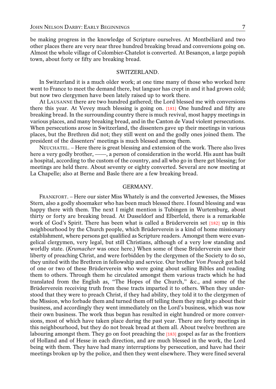be making progress in the knowledge of Scripture ourselves. At Montbéliard and two other places there are very near three hundred breaking bread and conversions going on. Almost the whole village of Colombier-Chatelot is converted. At Besançon, a large popish town, about forty or fifty are breaking bread.

#### SWITZERLAND.

In Switzerland it is a much older work; at one time many of those who worked here went to France to meet the demand there, but languor has crept in and it had grown cold; but now two clergymen have been lately raised up to work there.

At LAUSANNE there are two hundred gathered; the Lord blessed me with conversions there this year. At Vevey much blessing is going on. [181] One hundred and fifty are breaking bread. In the surrounding country there is much revival, most happy meetings in various places, and many breaking bread, and in the Canton de Vaud violent persecutions. When persecutions arose in Switzerland, the dissenters gave up their meetings in various places, but the Brethren did not; they still went on and the godly ones joined them. The president of the dissenters' meetings is much blessed among them.

NEUCHATEL. – Here there is great blessing and extension of the work. There also lives here a very godly brother,  $-\rightarrow$ , a person of consideration in the world. His aunt has built a hospital, according to the custom of the country, and all who go in there get blessing; for meetings are held there. About seventy or eighty converted. Several are now meeting at La Chapelle; also at Berne and Basle there are a few breaking bread.

#### GERMANY.

FRANKFORT. – Here our sister Miss Whately is and the converted Jewesses, the Misses Stern, also a godly shoemaker who has been much blessed there. I found blessing and was happy there with them. The next I might mention is Tubingen in Wurtemburg, about thirty or forty are breaking bread. At Dusseldorf and Elberfeld, there is a remarkable work of God's Spirit. There has been what is called a Brüderverein set [182] up in this neighbourhood by the Church people, which Brüderverein is a kind of home missionary establishment, where persons get qualified as Scripture readers. Amongst them were evangelical clergymen, very legal, but still Christians, although of a very low standing and worldly state. (*Krumacher* was once here.) When some of these Brüderverein saw their liberty of preaching Christ, and were forbidden by the clergymen of the Society to do so, they united with the Brethren in fellowship and service. Our brother *Von Poseck* got hold of one or two of these Brüderverein who were going about selling Bibles and reading them to others. Through them he circulated amongst them various tracts which he had translated from the English as, "The Hopes of the Church," &c., and some of the Brüderverein receiving truth from these tracts imparted it to others. When they understood that they were to preach Christ, if they had ability, they told it to the clergymen of the Mission, who forbade them and turned them off telling them they might go about their business, and accordingly they went immediately on the Lord's business, which was now their own business. The work thus begun has resulted in eight hundred or more conversions, most of which have taken place during the past year. There are forty meetings in this neighbourhood, but they do not break bread at them all. About twelve brethren are labouring amongst them. They go on foot preaching the [183] gospel as far as the frontiers of Holland and of Hesse in each direction, and are much blessed in the work, the Lord being with them. They have had many interruptions by persecution, and have had their meetings broken up by the police, and then they went elsewhere. They were fined several